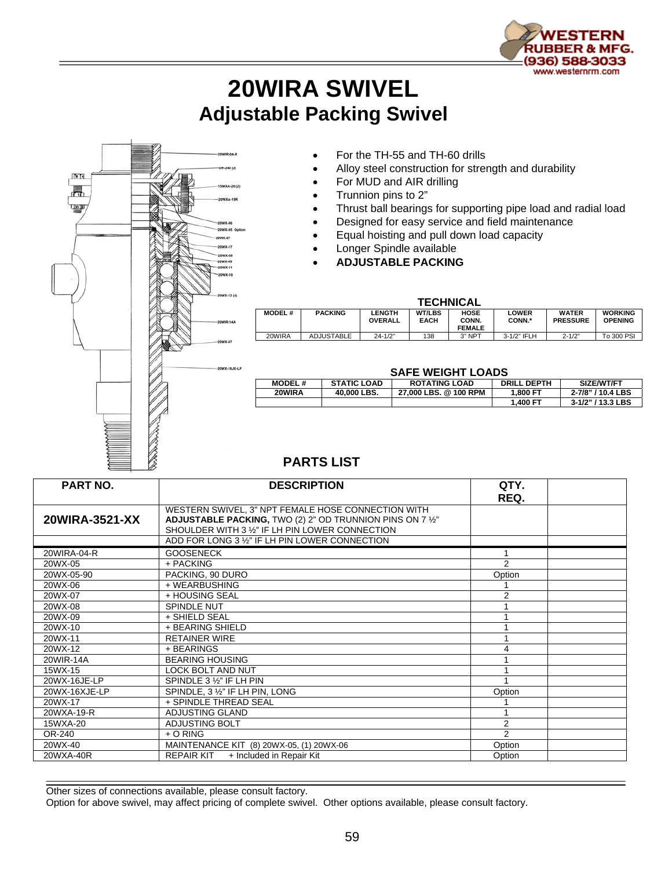

## **20WIRA SWIVEL Adjustable Packing Swivel**



- For the TH-55 and TH-60 drills
- Alloy steel construction for strength and durability
- For MUD and AIR drilling
- Trunnion pins to 2"
- Thrust ball bearings for supporting pipe load and radial load
- Designed for easy service and field maintenance
- Equal hoisting and pull down load capacity
- Longer Spindle available
- **ADJUSTABLE PACKING**

| <b>TECHNICAL</b> |                   |                                 |                              |                                       |                 |                                 |                                  |  |  |  |  |  |
|------------------|-------------------|---------------------------------|------------------------------|---------------------------------------|-----------------|---------------------------------|----------------------------------|--|--|--|--|--|
| <b>MODEL#</b>    | <b>PACKING</b>    | <b>LENGTH</b><br><b>OVERALL</b> | <b>WT/LBS</b><br><b>EACH</b> | <b>HOSE</b><br>CONN.<br><b>FEMALE</b> | LOWER<br>CONN.* | <b>WATER</b><br><b>PRESSURE</b> | <b>WORKING</b><br><b>OPENING</b> |  |  |  |  |  |
| 20WIRA           | <b>ADJUSTABLE</b> | $24 - 1/2"$                     | 138                          | 3" NPT                                | 3-1/2" IFLH     | $2 - 1/2"$                      | To 300 PSI                       |  |  |  |  |  |

## **SAFE WEIGHT LOADS**

| 971 E H H     |                    |                       |                    |                   |  |  |  |  |  |
|---------------|--------------------|-----------------------|--------------------|-------------------|--|--|--|--|--|
| <b>MODEL#</b> | <b>STATIC LOAD</b> | <b>ROTATING LOAD</b>  | <b>DRILL DEPTH</b> | SIZE/WT/FT        |  |  |  |  |  |
| 20WIRA        | 40,000 LBS.        | 27.000 LBS, @ 100 RPM | 1.800 FT           | 2-7/8" / 10.4 LBS |  |  |  |  |  |
|               |                    |                       | 1.400 FT           | 3-1/2" / 13.3 LBS |  |  |  |  |  |

## **PARTS LIST**

| <b>PART NO.</b> | <b>DESCRIPTION</b>                                                                                                                                                                                                   | QTY.           |  |
|-----------------|----------------------------------------------------------------------------------------------------------------------------------------------------------------------------------------------------------------------|----------------|--|
| 20WIRA-3521-XX  | WESTERN SWIVEL, 3" NPT FEMALE HOSE CONNECTION WITH<br>ADJUSTABLE PACKING, TWO (2) 2" OD TRUNNION PINS ON 7 1/2"<br>SHOULDER WITH 3 1/2" IF LH PIN LOWER CONNECTION<br>ADD FOR LONG 3 1/2" IF LH PIN LOWER CONNECTION | REQ.           |  |
|                 |                                                                                                                                                                                                                      |                |  |
| 20WIRA-04-R     | <b>GOOSENECK</b>                                                                                                                                                                                                     |                |  |
| 20WX-05         | + PACKING                                                                                                                                                                                                            | 2              |  |
| 20WX-05-90      | PACKING, 90 DURO                                                                                                                                                                                                     | Option         |  |
| 20WX-06         | + WEARBUSHING                                                                                                                                                                                                        |                |  |
| 20WX-07         | + HOUSING SEAL                                                                                                                                                                                                       | 2              |  |
| 20WX-08         | <b>SPINDLE NUT</b>                                                                                                                                                                                                   |                |  |
| 20WX-09         | + SHIELD SEAL                                                                                                                                                                                                        |                |  |
| 20WX-10         | + BEARING SHIELD                                                                                                                                                                                                     |                |  |
| 20WX-11         | <b>RETAINER WIRE</b>                                                                                                                                                                                                 |                |  |
| 20WX-12         | + BEARINGS                                                                                                                                                                                                           | 4              |  |
| 20WIR-14A       | <b>BEARING HOUSING</b>                                                                                                                                                                                               |                |  |
| 15WX-15         | <b>LOCK BOLT AND NUT</b>                                                                                                                                                                                             |                |  |
| 20WX-16JE-LP    | SPINDLE 3 1/2" IF LH PIN                                                                                                                                                                                             |                |  |
| 20WX-16XJE-LP   | SPINDLE, 3 1/2" IF LH PIN, LONG                                                                                                                                                                                      | Option         |  |
| 20WX-17         | + SPINDLE THREAD SEAL                                                                                                                                                                                                |                |  |
| 20WXA-19-R      | ADJUSTING GLAND                                                                                                                                                                                                      |                |  |
| 15WXA-20        | ADJUSTING BOLT                                                                                                                                                                                                       | 2              |  |
| OR-240          | $+$ O RING                                                                                                                                                                                                           | $\overline{2}$ |  |
| 20WX-40         | MAINTENANCE KIT (8) 20WX-05, (1) 20WX-06                                                                                                                                                                             | Option         |  |
| 20WXA-40R       | <b>REPAIR KIT</b><br>+ Included in Repair Kit                                                                                                                                                                        | Option         |  |

Other sizes of connections available, please consult factory.

Option for above swivel, may affect pricing of complete swivel. Other options available, please consult factory.